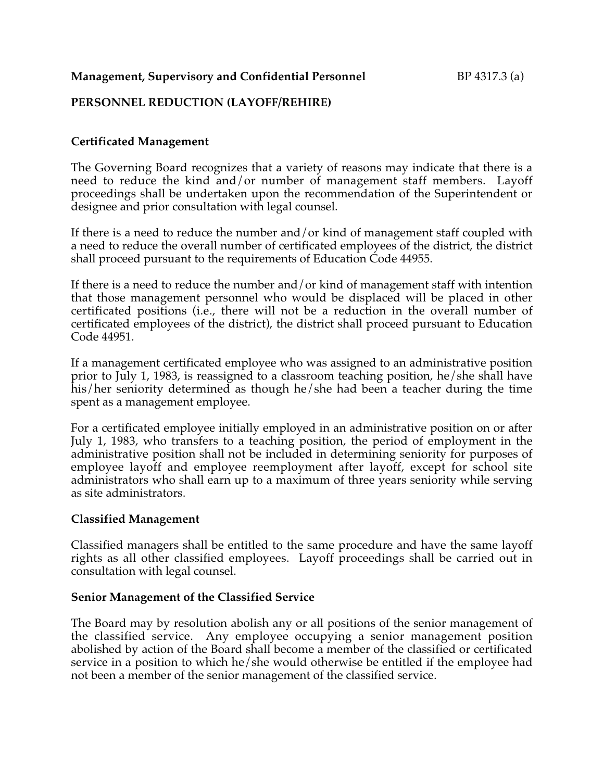#### **Management, Supervisory and Confidential Personnel** BP 4317.3 (a)

## **PERSONNEL REDUCTION (LAYOFF/REHIRE)**

# **Certificated Management**

The Governing Board recognizes that a variety of reasons may indicate that there is a need to reduce the kind and/or number of management staff members. Layoff proceedings shall be undertaken upon the recommendation of the Superintendent or designee and prior consultation with legal counsel.

If there is a need to reduce the number and/or kind of management staff coupled with a need to reduce the overall number of certificated employees of the district, the district shall proceed pursuant to the requirements of Education Code 44955.

If there is a need to reduce the number and/or kind of management staff with intention that those management personnel who would be displaced will be placed in other certificated positions (i.e., there will not be a reduction in the overall number of certificated employees of the district), the district shall proceed pursuant to Education Code 44951.

If a management certificated employee who was assigned to an administrative position prior to July 1, 1983, is reassigned to a classroom teaching position, he/she shall have his/her seniority determined as though he/she had been a teacher during the time spent as a management employee.

For a certificated employee initially employed in an administrative position on or after July 1, 1983, who transfers to a teaching position, the period of employment in the administrative position shall not be included in determining seniority for purposes of employee layoff and employee reemployment after layoff, except for school site administrators who shall earn up to a maximum of three years seniority while serving as site administrators.

#### **Classified Management**

Classified managers shall be entitled to the same procedure and have the same layoff rights as all other classified employees. Layoff proceedings shall be carried out in consultation with legal counsel.

#### **Senior Management of the Classified Service**

The Board may by resolution abolish any or all positions of the senior management of the classified service. Any employee occupying a senior management position abolished by action of the Board shall become a member of the classified or certificated service in a position to which he/she would otherwise be entitled if the employee had not been a member of the senior management of the classified service.